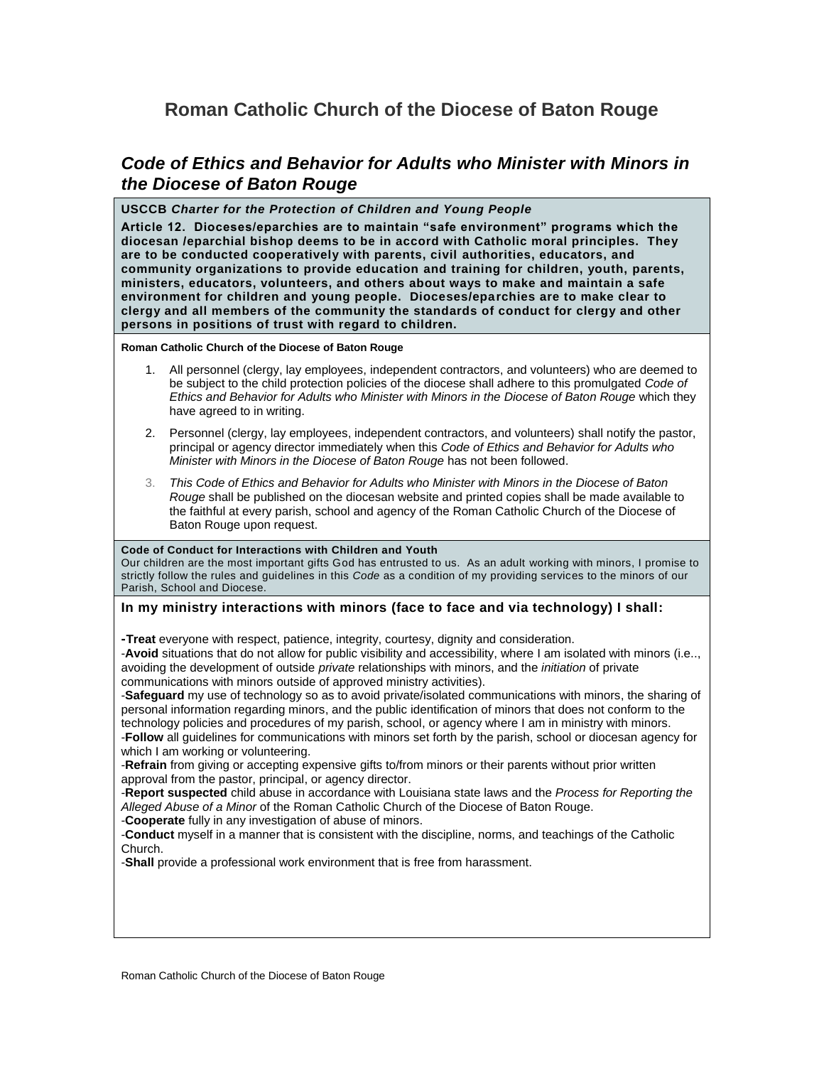# **Roman Catholic Church of the Diocese of Baton Rouge**

## *Code of Ethics and Behavior for Adults who Minister with Minors in the Diocese of Baton Rouge*

#### **USCCB** *Charter for the Protection of Children and Young People*

**Article 12. Dioceses/eparchies are to maintain "safe environment" programs which the diocesan /eparchial bishop deems to be in accord with Catholic moral principles. They are to be conducted cooperatively with parents, civil authorities, educators, and community organizations to provide education and training for children, youth, parents, ministers, educators, volunteers, and others about ways to make and maintain a safe environment for children and young people. Dioceses/eparchies are to make clear to clergy and all members of the community the standards of conduct for clergy and other persons in positions of trust with regard to children.**

**Roman Catholic Church of the Diocese of Baton Rouge**

- 1. All personnel (clergy, lay employees, independent contractors, and volunteers) who are deemed to be subject to the child protection policies of the diocese shall adhere to this promulgated *Code of Ethics and Behavior for Adults who Minister with Minors in the Diocese of Baton Rouge* which they have agreed to in writing.
- 2. Personnel (clergy, lay employees, independent contractors, and volunteers) shall notify the pastor, principal or agency director immediately when this *Code of Ethics and Behavior for Adults who Minister with Minors in the Diocese of Baton Rouge* has not been followed.
- 3. *This Code of Ethics and Behavior for Adults who Minister with Minors in the Diocese of Baton Rouge* shall be published on the diocesan website and printed copies shall be made available to the faithful at every parish, school and agency of the Roman Catholic Church of the Diocese of Baton Rouge upon request.

#### **Code of Conduct for Interactions with Children and Youth**

Our children are the most important gifts God has entrusted to us. As an adult working with minors, I promise to strictly follow the rules and guidelines in this *Code* as a condition of my providing services to the minors of our Parish, School and Diocese.

### **In my ministry interactions with minors (face to face and via technology) I shall:**

**-Treat** everyone with respect, patience, integrity, courtesy, dignity and consideration.

-**Avoid** situations that do not allow for public visibility and accessibility, where I am isolated with minors (i.e.., avoiding the development of outside *private* relationships with minors, and the *initiation* of private communications with minors outside of approved ministry activities).

-**Safeguard** my use of technology so as to avoid private/isolated communications with minors, the sharing of personal information regarding minors, and the public identification of minors that does not conform to the technology policies and procedures of my parish, school, or agency where I am in ministry with minors. -**Follow** all guidelines for communications with minors set forth by the parish, school or diocesan agency for which I am working or volunteering.

-**Refrain** from giving or accepting expensive gifts to/from minors or their parents without prior written approval from the pastor, principal, or agency director.

-**Report suspected** child abuse in accordance with Louisiana state laws and the *Process for Reporting the Alleged Abuse of a Minor* of the Roman Catholic Church of the Diocese of Baton Rouge.

-**Cooperate** fully in any investigation of abuse of minors.

-**Conduct** myself in a manner that is consistent with the discipline, norms, and teachings of the Catholic Church.

-**Shall** provide a professional work environment that is free from harassment.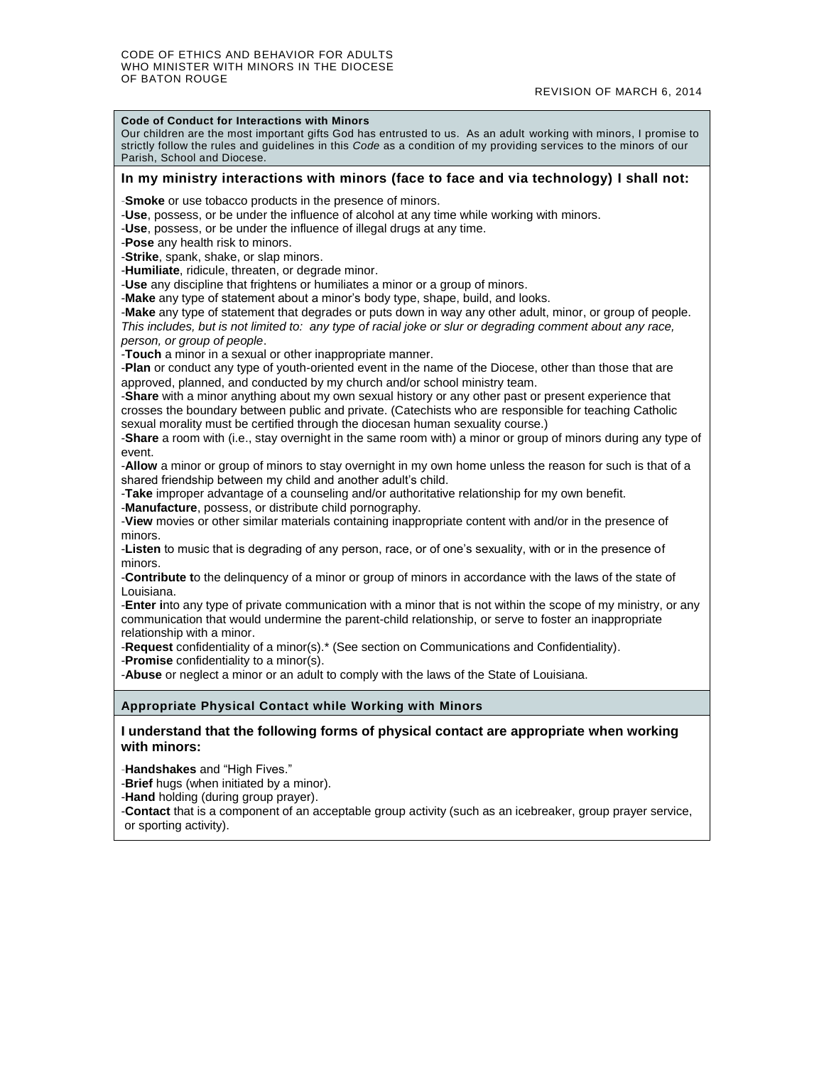#### **Code of Conduct for Interactions with Minors**

Our children are the most important gifts God has entrusted to us. As an adult working with minors, I promise to strictly follow the rules and guidelines in this *Code* as a condition of my providing services to the minors of our Parish, School and Diocese.

#### **In my ministry interactions with minors (face to face and via technology) I shall not:**

-**Smoke** or use tobacco products in the presence of minors.

-**Use**, possess, or be under the influence of alcohol at any time while working with minors.

-**Use**, possess, or be under the influence of illegal drugs at any time.

-**Pose** any health risk to minors.

-**Strike**, spank, shake, or slap minors.

-**Humiliate**, ridicule, threaten, or degrade minor.

-**Use** any discipline that frightens or humiliates a minor or a group of minors.

-**Make** any type of statement about a minor's body type, shape, build, and looks.

-**Make** any type of statement that degrades or puts down in way any other adult, minor, or group of people. *This includes, but is not limited to: any type of racial joke or slur or degrading comment about any race, person, or group of people*.

-**Touch** a minor in a sexual or other inappropriate manner.

-**Plan** or conduct any type of youth-oriented event in the name of the Diocese, other than those that are approved, planned, and conducted by my church and/or school ministry team.

-**Share** with a minor anything about my own sexual history or any other past or present experience that crosses the boundary between public and private. (Catechists who are responsible for teaching Catholic sexual morality must be certified through the diocesan human sexuality course.)

-**Share** a room with (i.e., stay overnight in the same room with) a minor or group of minors during any type of event.

-**Allow** a minor or group of minors to stay overnight in my own home unless the reason for such is that of a shared friendship between my child and another adult's child.

-**Take** improper advantage of a counseling and/or authoritative relationship for my own benefit.

-**Manufacture**, possess, or distribute child pornography.

-**View** movies or other similar materials containing inappropriate content with and/or in the presence of minors.

-**Listen** to music that is degrading of any person, race, or of one's sexuality, with or in the presence of minors.

-**Contribute t**o the delinquency of a minor or group of minors in accordance with the laws of the state of Louisiana.

-**Enter i**nto any type of private communication with a minor that is not within the scope of my ministry, or any communication that would undermine the parent-child relationship, or serve to foster an inappropriate relationship with a minor.

-**Request** confidentiality of a minor(s).\* (See section on Communications and Confidentiality).

-**Promise** confidentiality to a minor(s).

-**Abuse** or neglect a minor or an adult to comply with the laws of the State of Louisiana.

#### **Appropriate Physical Contact while Working with Minors**

**I understand that the following forms of physical contact are appropriate when working with minors:**

-**Handshakes** and "High Fives."

-**Brief** hugs (when initiated by a minor).

-**Hand** holding (during group prayer).

-**Contact** that is a component of an acceptable group activity (such as an icebreaker, group prayer service, or sporting activity).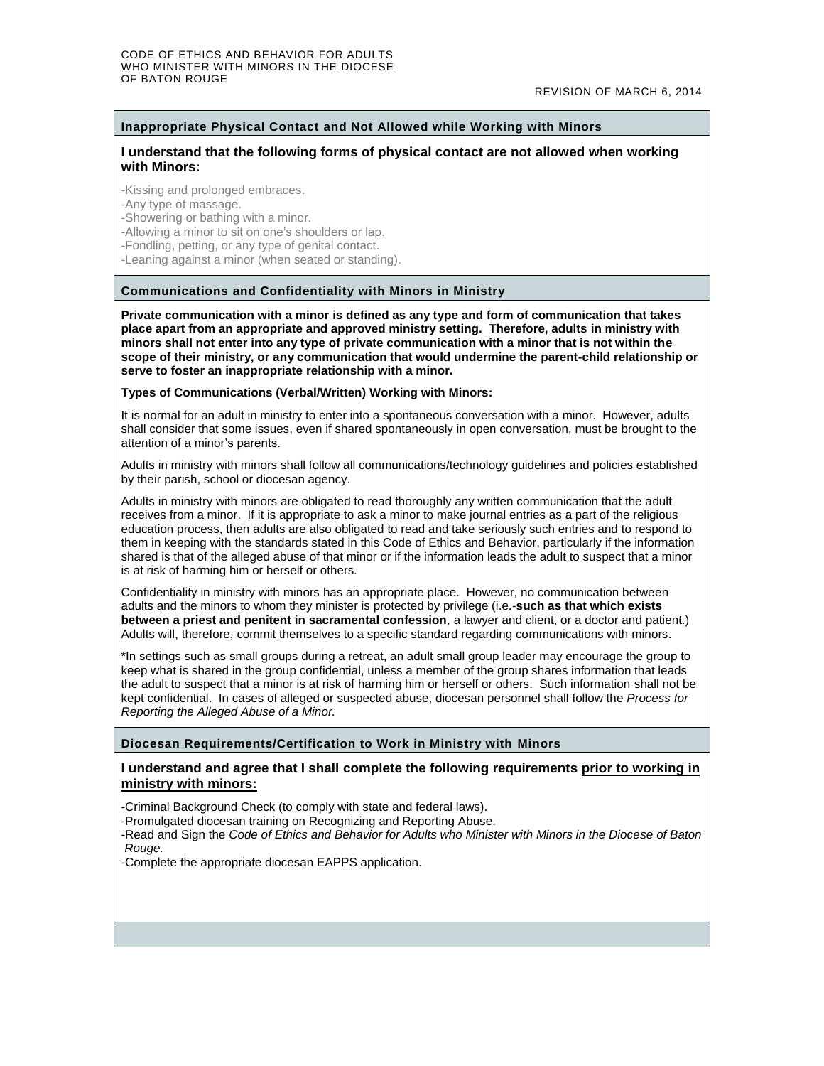### **Inappropriate Physical Contact and Not Allowed while Working with Minors**

#### **I understand that the following forms of physical contact are not allowed when working with Minors:**

-Kissing and prolonged embraces.

-Any type of massage.

-Showering or bathing with a minor.

-Allowing a minor to sit on one's shoulders or lap.

-Fondling, petting, or any type of genital contact.

-Leaning against a minor (when seated or standing).

#### **Communications and Confidentiality with Minors in Ministry**

**Private communication with a minor is defined as any type and form of communication that takes place apart from an appropriate and approved ministry setting. Therefore, adults in ministry with minors shall not enter into any type of private communication with a minor that is not within the scope of their ministry, or any communication that would undermine the parent-child relationship or serve to foster an inappropriate relationship with a minor.**

#### **Types of Communications (Verbal/Written) Working with Minors:**

It is normal for an adult in ministry to enter into a spontaneous conversation with a minor. However, adults shall consider that some issues, even if shared spontaneously in open conversation, must be brought to the attention of a minor's parents.

Adults in ministry with minors shall follow all communications/technology guidelines and policies established by their parish, school or diocesan agency.

Adults in ministry with minors are obligated to read thoroughly any written communication that the adult receives from a minor. If it is appropriate to ask a minor to make journal entries as a part of the religious education process, then adults are also obligated to read and take seriously such entries and to respond to them in keeping with the standards stated in this Code of Ethics and Behavior, particularly if the information shared is that of the alleged abuse of that minor or if the information leads the adult to suspect that a minor is at risk of harming him or herself or others.

Confidentiality in ministry with minors has an appropriate place. However, no communication between adults and the minors to whom they minister is protected by privilege (i.e.-**such as that which exists between a priest and penitent in sacramental confession**, a lawyer and client, or a doctor and patient.) Adults will, therefore, commit themselves to a specific standard regarding communications with minors.

\*In settings such as small groups during a retreat, an adult small group leader may encourage the group to keep what is shared in the group confidential, unless a member of the group shares information that leads the adult to suspect that a minor is at risk of harming him or herself or others. Such information shall not be kept confidential. In cases of alleged or suspected abuse, diocesan personnel shall follow the *Process for Reporting the Alleged Abuse of a Minor.*

#### **Diocesan Requirements/Certification to Work in Ministry with Minors**

#### **I understand and agree that I shall complete the following requirements prior to working in ministry with minors:**

-Criminal Background Check (to comply with state and federal laws).

-Promulgated diocesan training on Recognizing and Reporting Abuse.

-Read and Sign the *Code of Ethics and Behavior for Adults who Minister with Minors in the Diocese of Baton Rouge.*

-Complete the appropriate diocesan EAPPS application.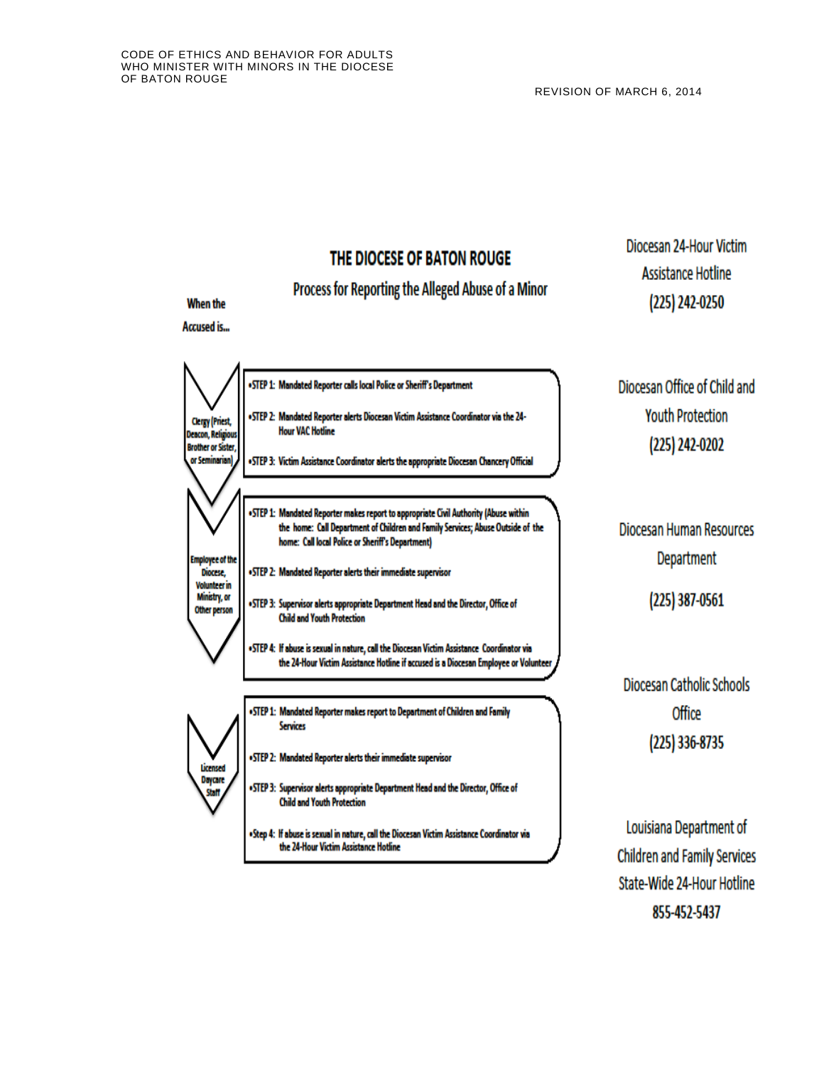# THE DIOCESE OF BATON ROUGE

Process for Reporting the Alleged Abuse of a Minor

### **When the**

**Accused is...** 

Diocesan 24-Hour Victim **Assistance Hotline** (225) 242-0250



Diocesan Office of Child and **Youth Protection** (225) 242-0202

**Diocesan Human Resources** Department

 $(225)$  387-0561

Diocesan Catholic Schools Office  $(225)$  336-8735

Louisiana Department of **Children and Family Services** State-Wide 24-Hour Hotline 855-452-5437